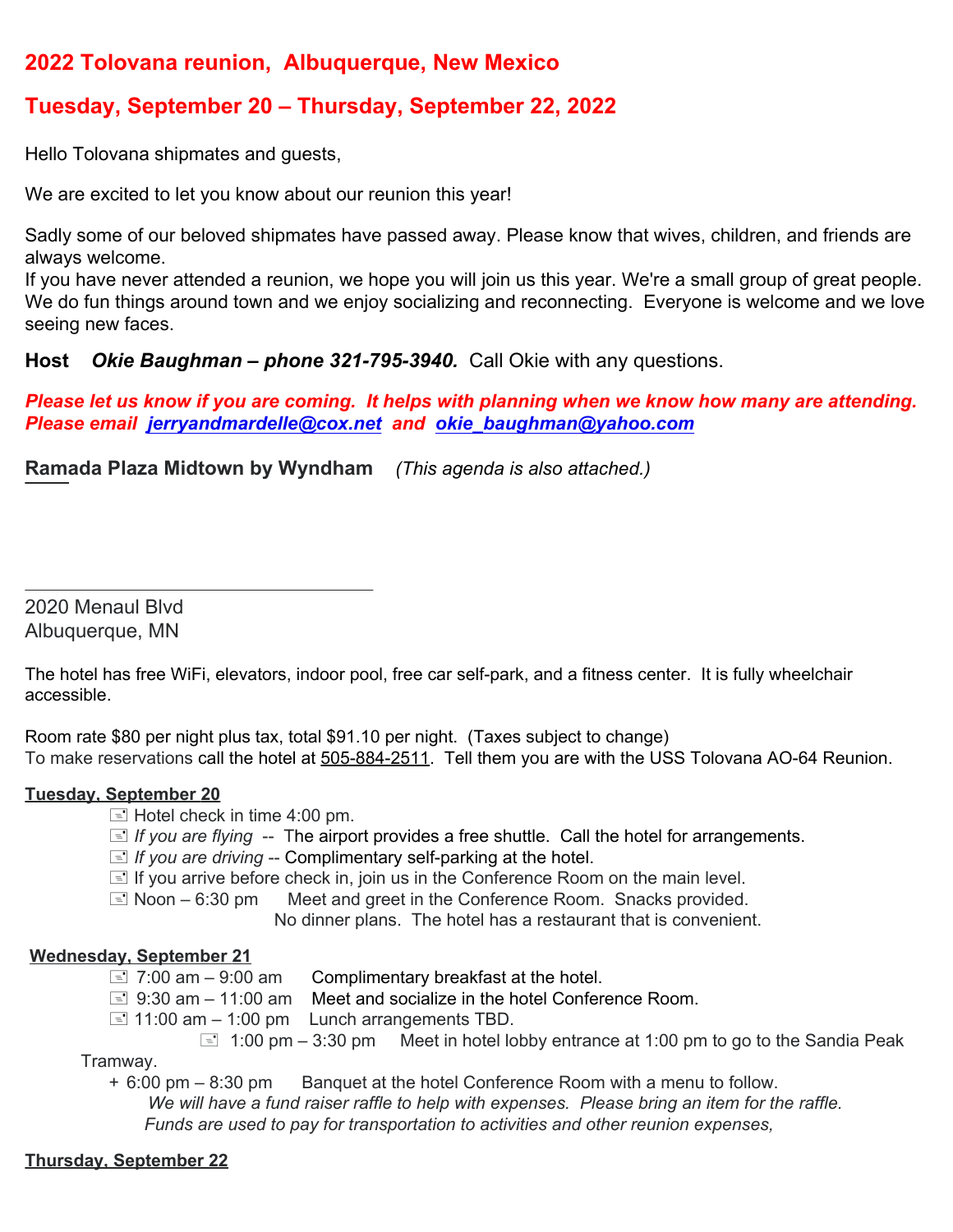## **2022 Tolovana reunion, Albuquerque, New Mexico**

# **Tuesday, September 20 – Thursday, September 22, 2022**

Hello Tolovana shipmates and guests,

We are excited to let you know about our reunion this year!

Sadly some of our beloved shipmates have passed away. Please know that wives, children, and friends are always welcome.

If you have never attended a reunion, we hope you will join us this year. We're a small group of great people. We do fun things around town and we enjoy socializing and reconnecting. Everyone is welcome and we love seeing new faces.

**Host** *Okie Baughman – phone 321-795-3940.* Call Okie with any questions.

*Please let us know if you are coming. It helps with planning when we know how many are attending. Please email [jerryandmardelle@cox.net](mailto:jerryandmardelle@cox.net) and [okie\\_baughman@yahoo.com](mailto:okie_baughman@yahoo.com)*

**Ramada Plaza Midtown by Wyndham** *(This agenda is also attached.)*

2020 Menaul Blvd Albuquerque, MN

The hotel has free WiFi, elevators, indoor pool, free car self-park, and a fitness center. It is fully wheelchair accessible.

Room rate \$80 per night plus tax, total \$91.10 per night. (Taxes subject to change) To make reservations call the hotel at 505-884-2511. Tell them you are with the USS Tolovana AO-64 Reunion.

#### **Tuesday, September 20**

 $\equiv$  Hotel check in time 4:00 pm.

- **E** If you are flying -- The airport provides a free shuttle. Call the hotel for arrangements.
- $\equiv$  *If you are driving* -- Complimentary self-parking at the hotel.
- $\equiv$  If you arrive before check in, join us in the Conference Room on the main level.
- $\equiv$  Noon 6:30 pm Meet and greet in the Conference Room. Snacks provided.

No dinner plans. The hotel has a restaurant that is convenient.

#### **Wednesday, September 21**

- $\equiv$  7:00 am 9:00 am Complimentary breakfast at the hotel.
- $\equiv$  9:30 am 11:00 am Meet and socialize in the hotel Conference Room.
- $\equiv$  11:00 am 1:00 pm Lunch arrangements TBD.
	- $\equiv$  1:00 pm 3:30 pm Meet in hotel lobby entrance at 1:00 pm to go to the Sandia Peak

Tramway.

+ 6:00 pm – 8:30 pm Banquet at the hotel Conference Room with a menu to follow.

 *We will have a fund raiser raffle to help with expenses. Please bring an item for the raffle. Funds are used to pay for transportation to activities and other reunion expenses,*

### **Thursday, September 22**